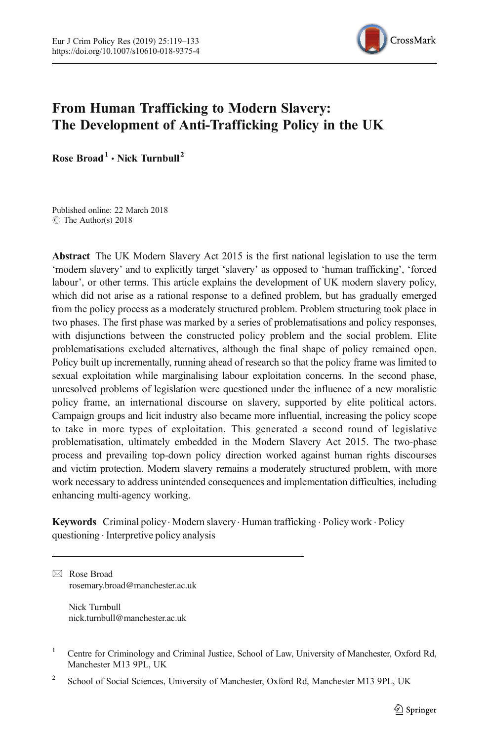

# From Human Trafficking to Modern Slavery: The Development of Anti-Trafficking Policy in the UK

Rose Broad<sup>1</sup> • Nick Turnbull<sup>2</sup>

Published online: 22 March 2018  $\circ$  The Author(s) 2018

Abstract The UK Modern Slavery Act 2015 is the first national legislation to use the term 'modern slavery' and to explicitly target 'slavery' as opposed to 'human trafficking', 'forced labour', or other terms. This article explains the development of UK modern slavery policy, which did not arise as a rational response to a defined problem, but has gradually emerged from the policy process as a moderately structured problem. Problem structuring took place in two phases. The first phase was marked by a series of problematisations and policy responses, with disjunctions between the constructed policy problem and the social problem. Elite problematisations excluded alternatives, although the final shape of policy remained open. Policy built up incrementally, running ahead of research so that the policy frame was limited to sexual exploitation while marginalising labour exploitation concerns. In the second phase, unresolved problems of legislation were questioned under the influence of a new moralistic policy frame, an international discourse on slavery, supported by elite political actors. Campaign groups and licit industry also became more influential, increasing the policy scope to take in more types of exploitation. This generated a second round of legislative problematisation, ultimately embedded in the Modern Slavery Act 2015. The two-phase process and prevailing top-down policy direction worked against human rights discourses and victim protection. Modern slavery remains a moderately structured problem, with more work necessary to address unintended consequences and implementation difficulties, including enhancing multi-agency working.

Keywords Criminal policy. Modern slavery. Human trafficking . Policy work . Policy questioning . Interpretive policy analysis

 $\boxtimes$  Rose Broad rosemary.broad@manchester.ac.uk

> Nick Turnbull nick.turnbull@manchester.ac.uk

<sup>1</sup> Centre for Criminology and Criminal Justice, School of Law, University of Manchester, Oxford Rd, Manchester M13 9PL, UK

<sup>&</sup>lt;sup>2</sup> School of Social Sciences, University of Manchester, Oxford Rd, Manchester M13 9PL, UK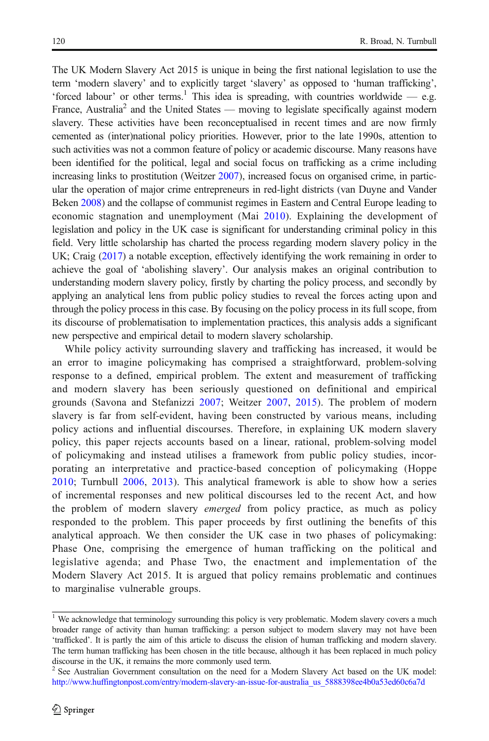The UK Modern Slavery Act 2015 is unique in being the first national legislation to use the term 'modern slavery' and to explicitly target 'slavery' as opposed to 'human trafficking', 'forced labour' or other terms.<sup>1</sup> This idea is spreading, with countries worldwide  $-$  e.g. France, Australia<sup>2</sup> and the United States — moving to legislate specifically against modern slavery. These activities have been reconceptualised in recent times and are now firmly cemented as (inter)national policy priorities. However, prior to the late 1990s, attention to such activities was not a common feature of policy or academic discourse. Many reasons have been identified for the political, legal and social focus on trafficking as a crime including increasing links to prostitution (Weitzer [2007\)](#page-14-0), increased focus on organised crime, in particular the operation of major crime entrepreneurs in red-light districts (van Duyne and Vander Beken [2008](#page-14-0)) and the collapse of communist regimes in Eastern and Central Europe leading to economic stagnation and unemployment (Mai [2010\)](#page-14-0). Explaining the development of legislation and policy in the UK case is significant for understanding criminal policy in this field. Very little scholarship has charted the process regarding modern slavery policy in the UK; Craig ([2017](#page-12-0)) a notable exception, effectively identifying the work remaining in order to achieve the goal of 'abolishing slavery'. Our analysis makes an original contribution to understanding modern slavery policy, firstly by charting the policy process, and secondly by applying an analytical lens from public policy studies to reveal the forces acting upon and through the policy process in this case. By focusing on the policy process in its full scope, from its discourse of problematisation to implementation practices, this analysis adds a significant new perspective and empirical detail to modern slavery scholarship.

While policy activity surrounding slavery and trafficking has increased, it would be an error to imagine policymaking has comprised a straightforward, problem-solving response to a defined, empirical problem. The extent and measurement of trafficking and modern slavery has been seriously questioned on definitional and empirical grounds (Savona and Stefanizzi [2007;](#page-14-0) Weitzer [2007,](#page-14-0) [2015](#page-14-0)). The problem of modern slavery is far from self-evident, having been constructed by various means, including policy actions and influential discourses. Therefore, in explaining UK modern slavery policy, this paper rejects accounts based on a linear, rational, problem-solving model of policymaking and instead utilises a framework from public policy studies, incorporating an interpretative and practice-based conception of policymaking (Hoppe [2010](#page-13-0); Turnbull [2006,](#page-14-0) [2013\)](#page-14-0). This analytical framework is able to show how a series of incremental responses and new political discourses led to the recent Act, and how the problem of modern slavery *emerged* from policy practice, as much as policy responded to the problem. This paper proceeds by first outlining the benefits of this analytical approach. We then consider the UK case in two phases of policymaking: Phase One, comprising the emergence of human trafficking on the political and legislative agenda; and Phase Two, the enactment and implementation of the Modern Slavery Act 2015. It is argued that policy remains problematic and continues to marginalise vulnerable groups.

<sup>&</sup>lt;sup>1</sup> We acknowledge that terminology surrounding this policy is very problematic. Modern slavery covers a much broader range of activity than human trafficking: a person subject to modern slavery may not have been 'trafficked'. It is partly the aim of this article to discuss the elision of human trafficking and modern slavery. The term human trafficking has been chosen in the title because, although it has been replaced in much policy discourse in the UK, it remains the more commonly used term.

<sup>&</sup>lt;sup>2</sup> See Australian Government consultation on the need for a Modern Slavery Act based on the UK model: [http://www.huffingtonpost.com/entry/modern-slavery-an-issue-for-australia\\_us\\_5888398ee4b0a53ed60c6a7d](http://www.huffingtonpost.com/entry/modern-slavery-an-issue-for-australia_us_5888398ee4b0a53ed60c6a7d)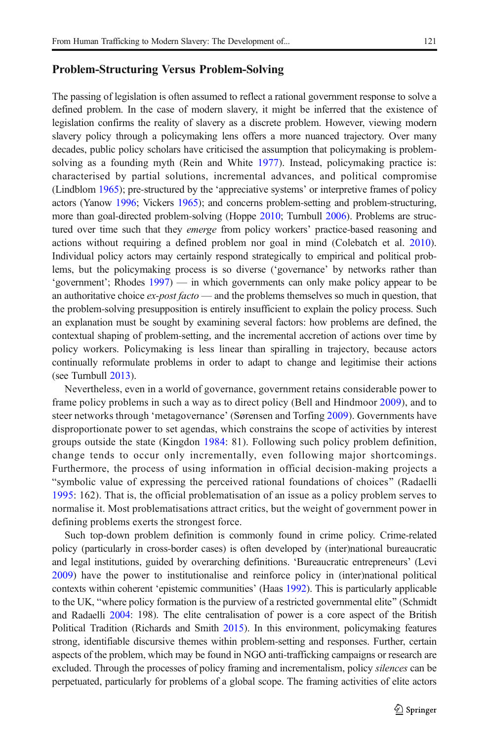#### Problem-Structuring Versus Problem-Solving

The passing of legislation is often assumed to reflect a rational government response to solve a defined problem. In the case of modern slavery, it might be inferred that the existence of legislation confirms the reality of slavery as a discrete problem. However, viewing modern slavery policy through a policymaking lens offers a more nuanced trajectory. Over many decades, public policy scholars have criticised the assumption that policymaking is problemsolving as a founding myth (Rein and White [1977\)](#page-14-0). Instead, policymaking practice is: characterised by partial solutions, incremental advances, and political compromise (Lindblom [1965\)](#page-13-0); pre-structured by the 'appreciative systems' or interpretive frames of policy actors (Yanow [1996;](#page-14-0) Vickers [1965](#page-14-0)); and concerns problem-setting and problem-structuring, more than goal-directed problem-solving (Hoppe [2010](#page-13-0); Turnbull [2006](#page-14-0)). Problems are structured over time such that they *emerge* from policy workers' practice-based reasoning and actions without requiring a defined problem nor goal in mind (Colebatch et al. [2010](#page-12-0)). Individual policy actors may certainly respond strategically to empirical and political problems, but the policymaking process is so diverse ('governance' by networks rather than 'government'; Rhodes [1997](#page-14-0)) — in which governments can only make policy appear to be an authoritative choice *ex-post facto* — and the problems themselves so much in question, that the problem-solving presupposition is entirely insufficient to explain the policy process. Such an explanation must be sought by examining several factors: how problems are defined, the contextual shaping of problem-setting, and the incremental accretion of actions over time by policy workers. Policymaking is less linear than spiralling in trajectory, because actors continually reformulate problems in order to adapt to change and legitimise their actions (see Turnbull [2013](#page-14-0)).

Nevertheless, even in a world of governance, government retains considerable power to frame policy problems in such a way as to direct policy (Bell and Hindmoor [2009\)](#page-12-0), and to steer networks through 'metagovernance' (Sørensen and Torfing [2009](#page-14-0)). Governments have disproportionate power to set agendas, which constrains the scope of activities by interest groups outside the state (Kingdon [1984](#page-13-0): 81). Following such policy problem definition, change tends to occur only incrementally, even following major shortcomings. Furthermore, the process of using information in official decision-making projects a Bsymbolic value of expressing the perceived rational foundations of choices^ (Radaelli [1995](#page-14-0): 162). That is, the official problematisation of an issue as a policy problem serves to normalise it. Most problematisations attract critics, but the weight of government power in defining problems exerts the strongest force.

Such top-down problem definition is commonly found in crime policy. Crime-related policy (particularly in cross-border cases) is often developed by (inter)national bureaucratic and legal institutions, guided by overarching definitions. 'Bureaucratic entrepreneurs' (Levi [2009\)](#page-13-0) have the power to institutionalise and reinforce policy in (inter)national political contexts within coherent 'epistemic communities' (Haas [1992](#page-13-0)). This is particularly applicable to the UK, "where policy formation is the purview of a restricted governmental elite" (Schmidt and Radaelli [2004](#page-14-0): 198). The elite centralisation of power is a core aspect of the British Political Tradition (Richards and Smith [2015](#page-14-0)). In this environment, policymaking features strong, identifiable discursive themes within problem-setting and responses. Further, certain aspects of the problem, which may be found in NGO anti-trafficking campaigns or research are excluded. Through the processes of policy framing and incrementalism, policy *silences* can be perpetuated, particularly for problems of a global scope. The framing activities of elite actors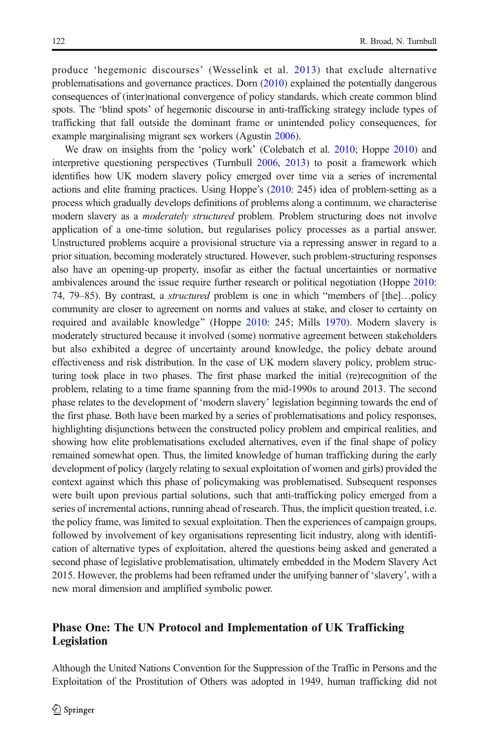produce 'hegemonic discourses' (Wesselink et al. [2013\)](#page-14-0) that exclude alternative problematisations and governance practices. Dorn [\(2010](#page-13-0)) explained the potentially dangerous consequences of (inter)national convergence of policy standards, which create common blind spots. The 'blind spots' of hegemonic discourse in anti-trafficking strategy include types of trafficking that fall outside the dominant frame or unintended policy consequences, for example marginalising migrant sex workers (Agustin [2006](#page-12-0)).

We draw on insights from the 'policy work' (Colebatch et al. [2010](#page-13-0); Hoppe 2010) and interpretive questioning perspectives (Turnbull [2006,](#page-14-0) [2013](#page-14-0)) to posit a framework which identifies how UK modern slavery policy emerged over time via a series of incremental actions and elite framing practices. Using Hoppe's [\(2010:](#page-13-0) 245) idea of problem-setting as a process which gradually develops definitions of problems along a continuum, we characterise modern slavery as a *moderately structured* problem. Problem structuring does not involve application of a one-time solution, but regularises policy processes as a partial answer. Unstructured problems acquire a provisional structure via a repressing answer in regard to a prior situation, becoming moderately structured. However, such problem-structuring responses also have an opening-up property, insofar as either the factual uncertainties or normative ambivalences around the issue require further research or political negotiation (Hoppe [2010](#page-13-0): 74, 79–85). By contrast, a *structured* problem is one in which "members of [the]...policy community are closer to agreement on norms and values at stake, and closer to certainty on required and available knowledge^ (Hoppe [2010](#page-13-0): 245; Mills [1970](#page-14-0)). Modern slavery is moderately structured because it involved (some) normative agreement between stakeholders but also exhibited a degree of uncertainty around knowledge, the policy debate around effectiveness and risk distribution. In the case of UK modern slavery policy, problem structuring took place in two phases. The first phase marked the initial (re)recognition of the problem, relating to a time frame spanning from the mid-1990s to around 2013. The second phase relates to the development of 'modern slavery' legislation beginning towards the end of the first phase. Both have been marked by a series of problematisations and policy responses, highlighting disjunctions between the constructed policy problem and empirical realities, and showing how elite problematisations excluded alternatives, even if the final shape of policy remained somewhat open. Thus, the limited knowledge of human trafficking during the early development of policy (largely relating to sexual exploitation of women and girls) provided the context against which this phase of policymaking was problematised. Subsequent responses were built upon previous partial solutions, such that anti-trafficking policy emerged from a series of incremental actions, running ahead of research. Thus, the implicit question treated, i.e. the policy frame, was limited to sexual exploitation. Then the experiences of campaign groups, followed by involvement of key organisations representing licit industry, along with identification of alternative types of exploitation, altered the questions being asked and generated a second phase of legislative problematisation, ultimately embedded in the Modern Slavery Act 2015. However, the problems had been reframed under the unifying banner of 'slavery', with a new moral dimension and amplified symbolic power.

# Phase One: The UN Protocol and Implementation of UK Trafficking Legislation

Although the United Nations Convention for the Suppression of the Traffic in Persons and the Exploitation of the Prostitution of Others was adopted in 1949, human trafficking did not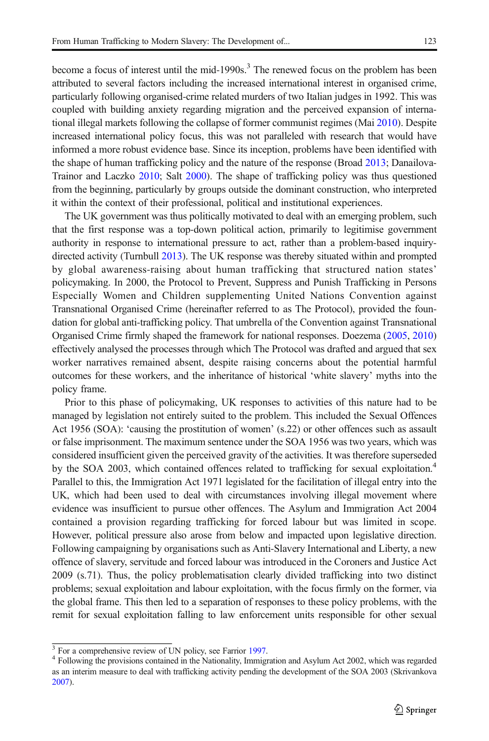become a focus of interest until the mid-1990s.<sup>3</sup> The renewed focus on the problem has been attributed to several factors including the increased international interest in organised crime, particularly following organised-crime related murders of two Italian judges in 1992. This was coupled with building anxiety regarding migration and the perceived expansion of international illegal markets following the collapse of former communist regimes (Mai [2010](#page-14-0)). Despite increased international policy focus, this was not paralleled with research that would have informed a more robust evidence base. Since its inception, problems have been identified with the shape of human trafficking policy and the nature of the response (Broad [2013;](#page-12-0) Danailova-Trainor and Laczko [2010](#page-12-0); Salt [2000\)](#page-14-0). The shape of trafficking policy was thus questioned from the beginning, particularly by groups outside the dominant construction, who interpreted it within the context of their professional, political and institutional experiences.

The UK government was thus politically motivated to deal with an emerging problem, such that the first response was a top-down political action, primarily to legitimise government authority in response to international pressure to act, rather than a problem-based inquirydirected activity (Turnbull [2013\)](#page-14-0). The UK response was thereby situated within and prompted by global awareness-raising about human trafficking that structured nation states' policymaking. In 2000, the Protocol to Prevent, Suppress and Punish Trafficking in Persons Especially Women and Children supplementing United Nations Convention against Transnational Organised Crime (hereinafter referred to as The Protocol), provided the foundation for global anti-trafficking policy. That umbrella of the Convention against Transnational Organised Crime firmly shaped the framework for national responses. Doezema ([2005](#page-13-0), [2010\)](#page-13-0) effectively analysed the processes through which The Protocol was drafted and argued that sex worker narratives remained absent, despite raising concerns about the potential harmful outcomes for these workers, and the inheritance of historical 'white slavery' myths into the policy frame.

Prior to this phase of policymaking, UK responses to activities of this nature had to be managed by legislation not entirely suited to the problem. This included the Sexual Offences Act 1956 (SOA): 'causing the prostitution of women' (s.22) or other offences such as assault or false imprisonment. The maximum sentence under the SOA 1956 was two years, which was considered insufficient given the perceived gravity of the activities. It was therefore superseded by the SOA 2003, which contained offences related to trafficking for sexual exploitation.<sup>4</sup> Parallel to this, the Immigration Act 1971 legislated for the facilitation of illegal entry into the UK, which had been used to deal with circumstances involving illegal movement where evidence was insufficient to pursue other offences. The Asylum and Immigration Act 2004 contained a provision regarding trafficking for forced labour but was limited in scope. However, political pressure also arose from below and impacted upon legislative direction. Following campaigning by organisations such as Anti-Slavery International and Liberty, a new offence of slavery, servitude and forced labour was introduced in the Coroners and Justice Act 2009 (s.71). Thus, the policy problematisation clearly divided trafficking into two distinct problems; sexual exploitation and labour exploitation, with the focus firmly on the former, via the global frame. This then led to a separation of responses to these policy problems, with the remit for sexual exploitation falling to law enforcement units responsible for other sexual

 $3$  For a comprehensive review of UN policy, see Farrior [1997.](#page-13-0)<br> $4$  Following the provisions contained in the Nationality, Immigration and Asylum Act 2002, which was regarded as an interim measure to deal with trafficking activity pending the development of the SOA 2003 (Skrivankova [2007](#page-14-0)).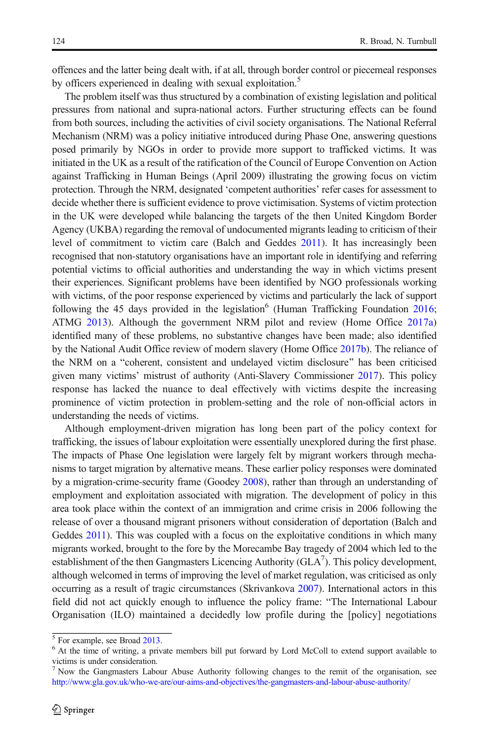offences and the latter being dealt with, if at all, through border control or piecemeal responses by officers experienced in dealing with sexual exploitation.<sup>5</sup>

The problem itself was thus structured by a combination of existing legislation and political pressures from national and supra-national actors. Further structuring effects can be found from both sources, including the activities of civil society organisations. The National Referral Mechanism (NRM) was a policy initiative introduced during Phase One, answering questions posed primarily by NGOs in order to provide more support to trafficked victims. It was initiated in the UK as a result of the ratification of the Council of Europe Convention on Action against Trafficking in Human Beings (April 2009) illustrating the growing focus on victim protection. Through the NRM, designated 'competent authorities' refer cases for assessment to decide whether there is sufficient evidence to prove victimisation. Systems of victim protection in the UK were developed while balancing the targets of the then United Kingdom Border Agency (UKBA) regarding the removal of undocumented migrants leading to criticism of their level of commitment to victim care (Balch and Geddes [2011](#page-12-0)). It has increasingly been recognised that non-statutory organisations have an important role in identifying and referring potential victims to official authorities and understanding the way in which victims present their experiences. Significant problems have been identified by NGO professionals working with victims, of the poor response experienced by victims and particularly the lack of support following the 45 days provided in the legislation<sup>6</sup> (Human Trafficking Foundation  $2016$ ; ATMG [2013\)](#page-12-0). Although the government NRM pilot and review (Home Office [2017a\)](#page-13-0) identified many of these problems, no substantive changes have been made; also identified by the National Audit Office review of modern slavery (Home Office [2017b](#page-13-0)). The reliance of the NRM on a "coherent, consistent and undelayed victim disclosure" has been criticised given many victims' mistrust of authority (Anti-Slavery Commissioner [2017](#page-12-0)). This policy response has lacked the nuance to deal effectively with victims despite the increasing prominence of victim protection in problem-setting and the role of non-official actors in understanding the needs of victims.

Although employment-driven migration has long been part of the policy context for trafficking, the issues of labour exploitation were essentially unexplored during the first phase. The impacts of Phase One legislation were largely felt by migrant workers through mechanisms to target migration by alternative means. These earlier policy responses were dominated by a migration-crime-security frame (Goodey [2008\)](#page-13-0), rather than through an understanding of employment and exploitation associated with migration. The development of policy in this area took place within the context of an immigration and crime crisis in 2006 following the release of over a thousand migrant prisoners without consideration of deportation (Balch and Geddes [2011\)](#page-12-0). This was coupled with a focus on the exploitative conditions in which many migrants worked, brought to the fore by the Morecambe Bay tragedy of 2004 which led to the establishment of the then Gangmasters Licencing Authority (GLA $^7$ ). This policy development, although welcomed in terms of improving the level of market regulation, was criticised as only occurring as a result of tragic circumstances (Skrivankova [2007](#page-14-0)). International actors in this field did not act quickly enough to influence the policy frame: "The International Labour Organisation (ILO) maintained a decidedly low profile during the [policy] negotiations

 $\frac{5}{6}$  For example, see Broad [2013](#page-12-0).<br><sup>6</sup> At the time of writing, a private members bill put forward by Lord McColl to extend support available to victims is under consideration.

<sup>7</sup> Now the Gangmasters Labour Abuse Authority following changes to the remit of the organisation, see <http://www.gla.gov.uk/who-we-are/our-aims-and-objectives/the-gangmasters-and-labour-abuse-authority/>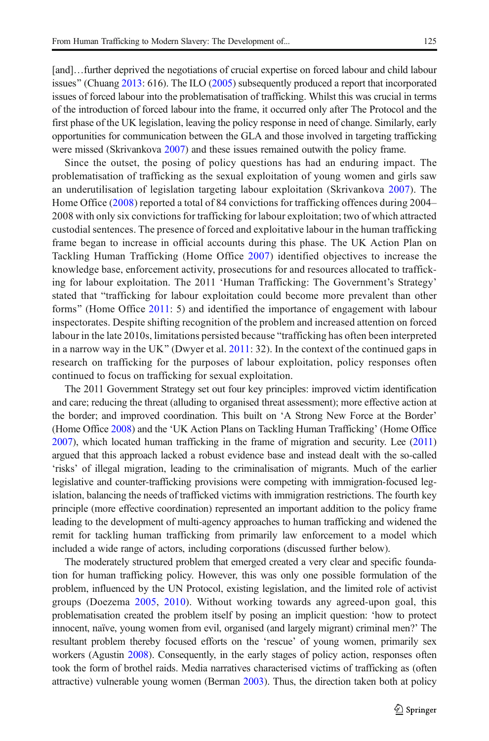[and]…further deprived the negotiations of crucial expertise on forced labour and child labour issues" (Chuang  $2013: 616$  $2013: 616$ ). The ILO ([2005](#page-13-0)) subsequently produced a report that incorporated issues of forced labour into the problematisation of trafficking. Whilst this was crucial in terms of the introduction of forced labour into the frame, it occurred only after The Protocol and the first phase of the UK legislation, leaving the policy response in need of change. Similarly, early opportunities for communication between the GLA and those involved in targeting trafficking were missed (Skrivankova [2007](#page-14-0)) and these issues remained outwith the policy frame.

Since the outset, the posing of policy questions has had an enduring impact. The problematisation of trafficking as the sexual exploitation of young women and girls saw an underutilisation of legislation targeting labour exploitation (Skrivankova [2007\)](#page-14-0). The Home Office [\(2008\)](#page-13-0) reported a total of 84 convictions for trafficking offences during 2004– 2008 with only six convictions for trafficking for labour exploitation; two of which attracted custodial sentences. The presence of forced and exploitative labour in the human trafficking frame began to increase in official accounts during this phase. The UK Action Plan on Tackling Human Trafficking (Home Office [2007\)](#page-13-0) identified objectives to increase the knowledge base, enforcement activity, prosecutions for and resources allocated to trafficking for labour exploitation. The 2011 'Human Trafficking: The Government's Strategy' stated that "trafficking for labour exploitation could become more prevalent than other forms" (Home Office [2011:](#page-13-0) 5) and identified the importance of engagement with labour inspectorates. Despite shifting recognition of the problem and increased attention on forced labour in the late 2010s, limitations persisted because "trafficking has often been interpreted in a narrow way in the UK" (Dwyer et al.  $2011: 32$  $2011: 32$ ). In the context of the continued gaps in research on trafficking for the purposes of labour exploitation, policy responses often continued to focus on trafficking for sexual exploitation.

The 2011 Government Strategy set out four key principles: improved victim identification and care; reducing the threat (alluding to organised threat assessment); more effective action at the border; and improved coordination. This built on 'A Strong New Force at the Border' (Home Office [2008](#page-13-0)) and the 'UK Action Plans on Tackling Human Trafficking' (Home Office [2007](#page-13-0)), which located human trafficking in the frame of migration and security. Lee [\(2011\)](#page-13-0) argued that this approach lacked a robust evidence base and instead dealt with the so-called 'risks' of illegal migration, leading to the criminalisation of migrants. Much of the earlier legislative and counter-trafficking provisions were competing with immigration-focused legislation, balancing the needs of trafficked victims with immigration restrictions. The fourth key principle (more effective coordination) represented an important addition to the policy frame leading to the development of multi-agency approaches to human trafficking and widened the remit for tackling human trafficking from primarily law enforcement to a model which included a wide range of actors, including corporations (discussed further below).

The moderately structured problem that emerged created a very clear and specific foundation for human trafficking policy. However, this was only one possible formulation of the problem, influenced by the UN Protocol, existing legislation, and the limited role of activist groups (Doezema [2005,](#page-13-0) [2010\)](#page-13-0). Without working towards any agreed-upon goal, this problematisation created the problem itself by posing an implicit question: 'how to protect innocent, naïve, young women from evil, organised (and largely migrant) criminal men?' The resultant problem thereby focused efforts on the 'rescue' of young women, primarily sex workers (Agustin [2008\)](#page-12-0). Consequently, in the early stages of policy action, responses often took the form of brothel raids. Media narratives characterised victims of trafficking as (often attractive) vulnerable young women (Berman [2003](#page-12-0)). Thus, the direction taken both at policy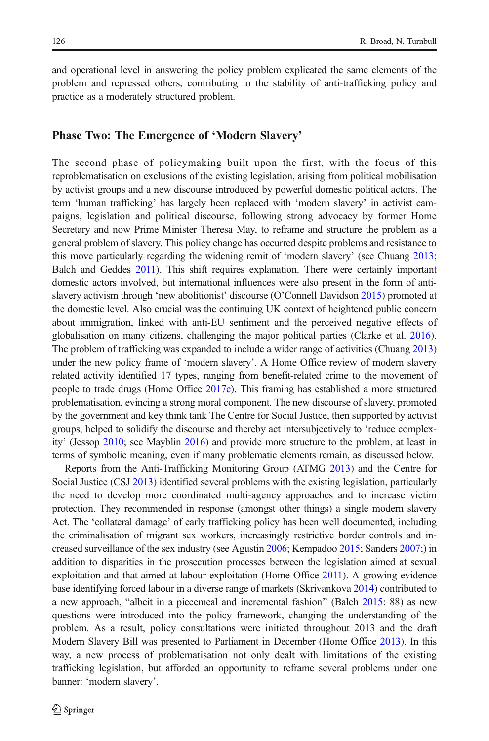and operational level in answering the policy problem explicated the same elements of the problem and repressed others, contributing to the stability of anti-trafficking policy and practice as a moderately structured problem.

#### Phase Two: The Emergence of 'Modern Slavery'

The second phase of policymaking built upon the first, with the focus of this reproblematisation on exclusions of the existing legislation, arising from political mobilisation by activist groups and a new discourse introduced by powerful domestic political actors. The term 'human trafficking' has largely been replaced with 'modern slavery' in activist campaigns, legislation and political discourse, following strong advocacy by former Home Secretary and now Prime Minister Theresa May, to reframe and structure the problem as a general problem of slavery. This policy change has occurred despite problems and resistance to this move particularly regarding the widening remit of 'modern slavery' (see Chuang [2013](#page-12-0); Balch and Geddes [2011](#page-12-0)). This shift requires explanation. There were certainly important domestic actors involved, but international influences were also present in the form of antislavery activism through 'new abolitionist' discourse (O'Connell Davidson [2015](#page-14-0)) promoted at the domestic level. Also crucial was the continuing UK context of heightened public concern about immigration, linked with anti-EU sentiment and the perceived negative effects of globalisation on many citizens, challenging the major political parties (Clarke et al. [2016](#page-12-0)). The problem of trafficking was expanded to include a wider range of activities (Chuang [2013\)](#page-12-0) under the new policy frame of 'modern slavery'. A Home Office review of modern slavery related activity identified 17 types, ranging from benefit-related crime to the movement of people to trade drugs (Home Office [2017c](#page-13-0)). This framing has established a more structured problematisation, evincing a strong moral component. The new discourse of slavery, promoted by the government and key think tank The Centre for Social Justice, then supported by activist groups, helped to solidify the discourse and thereby act intersubjectively to 'reduce complexity' (Jessop [2010](#page-13-0); see Mayblin [2016](#page-14-0)) and provide more structure to the problem, at least in terms of symbolic meaning, even if many problematic elements remain, as discussed below.

Reports from the Anti-Trafficking Monitoring Group (ATMG [2013](#page-12-0)) and the Centre for Social Justice (CSJ [2013\)](#page-12-0) identified several problems with the existing legislation, particularly the need to develop more coordinated multi-agency approaches and to increase victim protection. They recommended in response (amongst other things) a single modern slavery Act. The 'collateral damage' of early trafficking policy has been well documented, including the criminalisation of migrant sex workers, increasingly restrictive border controls and increased surveillance of the sex industry (see Agustin [2006](#page-12-0); Kempadoo [2015;](#page-13-0) Sanders [2007;](#page-14-0)) in addition to disparities in the prosecution processes between the legislation aimed at sexual exploitation and that aimed at labour exploitation (Home Office [2011](#page-13-0)). A growing evidence base identifying forced labour in a diverse range of markets (Skrivankova [2014](#page-14-0)) contributed to a new approach, "albeit in a piecemeal and incremental fashion" (Balch [2015](#page-12-0): 88) as new questions were introduced into the policy framework, changing the understanding of the problem. As a result, policy consultations were initiated throughout 2013 and the draft Modern Slavery Bill was presented to Parliament in December (Home Office [2013](#page-13-0)). In this way, a new process of problematisation not only dealt with limitations of the existing trafficking legislation, but afforded an opportunity to reframe several problems under one banner: 'modern slavery'.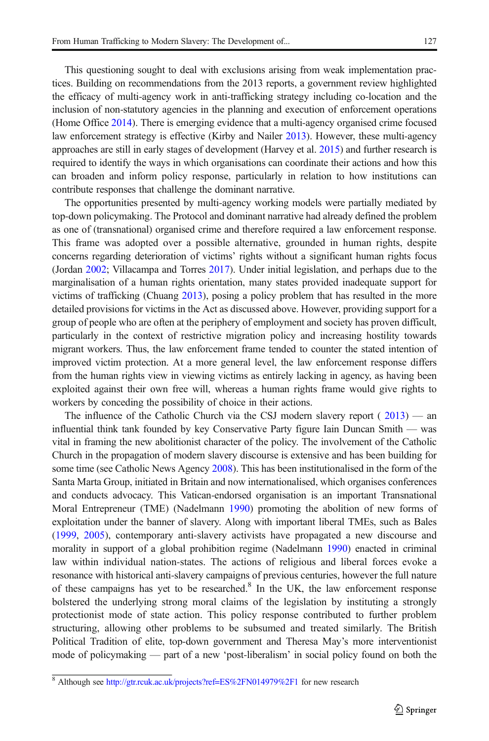This questioning sought to deal with exclusions arising from weak implementation practices. Building on recommendations from the 2013 reports, a government review highlighted the efficacy of multi-agency work in anti-trafficking strategy including co-location and the inclusion of non-statutory agencies in the planning and execution of enforcement operations (Home Office [2014\)](#page-13-0). There is emerging evidence that a multi-agency organised crime focused law enforcement strategy is effective (Kirby and Nailer [2013](#page-13-0)). However, these multi-agency approaches are still in early stages of development (Harvey et al. [2015\)](#page-13-0) and further research is required to identify the ways in which organisations can coordinate their actions and how this can broaden and inform policy response, particularly in relation to how institutions can contribute responses that challenge the dominant narrative.

The opportunities presented by multi-agency working models were partially mediated by top-down policymaking. The Protocol and dominant narrative had already defined the problem as one of (transnational) organised crime and therefore required a law enforcement response. This frame was adopted over a possible alternative, grounded in human rights, despite concerns regarding deterioration of victims' rights without a significant human rights focus (Jordan [2002;](#page-13-0) Villacampa and Torres [2017](#page-14-0)). Under initial legislation, and perhaps due to the marginalisation of a human rights orientation, many states provided inadequate support for victims of trafficking (Chuang [2013](#page-12-0)), posing a policy problem that has resulted in the more detailed provisions for victims in the Act as discussed above. However, providing support for a group of people who are often at the periphery of employment and society has proven difficult, particularly in the context of restrictive migration policy and increasing hostility towards migrant workers. Thus, the law enforcement frame tended to counter the stated intention of improved victim protection. At a more general level, the law enforcement response differs from the human rights view in viewing victims as entirely lacking in agency, as having been exploited against their own free will, whereas a human rights frame would give rights to workers by conceding the possibility of choice in their actions.

The influence of the Catholic Church via the CSJ modern slavery report ( [2013](#page-12-0)) — an influential think tank founded by key Conservative Party figure Iain Duncan Smith — was vital in framing the new abolitionist character of the policy. The involvement of the Catholic Church in the propagation of modern slavery discourse is extensive and has been building for some time (see Catholic News Agency [2008](#page-12-0)). This has been institutionalised in the form of the Santa Marta Group, initiated in Britain and now internationalised, which organises conferences and conducts advocacy. This Vatican-endorsed organisation is an important Transnational Moral Entrepreneur (TME) (Nadelmann [1990\)](#page-14-0) promoting the abolition of new forms of exploitation under the banner of slavery. Along with important liberal TMEs, such as Bales ([1999,](#page-12-0) [2005](#page-12-0)), contemporary anti-slavery activists have propagated a new discourse and morality in support of a global prohibition regime (Nadelmann [1990](#page-14-0)) enacted in criminal law within individual nation-states. The actions of religious and liberal forces evoke a resonance with historical anti-slavery campaigns of previous centuries, however the full nature of these campaigns has yet to be researched. $8\text{ In the UK, the law enforcement response}$ bolstered the underlying strong moral claims of the legislation by instituting a strongly protectionist mode of state action. This policy response contributed to further problem structuring, allowing other problems to be subsumed and treated similarly. The British Political Tradition of elite, top-down government and Theresa May's more interventionist mode of policymaking — part of a new 'post-liberalism' in social policy found on both the

<sup>8</sup> Although see <http://gtr.rcuk.ac.uk/projects?ref=ES%2FN014979%2F1> for new research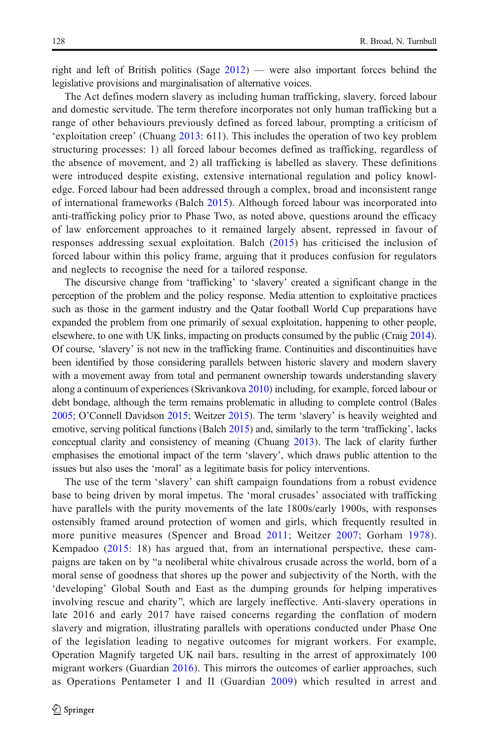right and left of British politics (Sage [2012\)](#page-14-0) — were also important forces behind the legislative provisions and marginalisation of alternative voices.

The Act defines modern slavery as including human trafficking, slavery, forced labour and domestic servitude. The term therefore incorporates not only human trafficking but a range of other behaviours previously defined as forced labour, prompting a criticism of 'exploitation creep' (Chuang [2013](#page-12-0): 611). This includes the operation of two key problem structuring processes: 1) all forced labour becomes defined as trafficking, regardless of the absence of movement, and 2) all trafficking is labelled as slavery. These definitions were introduced despite existing, extensive international regulation and policy knowledge. Forced labour had been addressed through a complex, broad and inconsistent range of international frameworks (Balch [2015\)](#page-12-0). Although forced labour was incorporated into anti-trafficking policy prior to Phase Two, as noted above, questions around the efficacy of law enforcement approaches to it remained largely absent, repressed in favour of responses addressing sexual exploitation. Balch [\(2015\)](#page-12-0) has criticised the inclusion of forced labour within this policy frame, arguing that it produces confusion for regulators and neglects to recognise the need for a tailored response.

The discursive change from 'trafficking' to 'slavery' created a significant change in the perception of the problem and the policy response. Media attention to exploitative practices such as those in the garment industry and the Qatar football World Cup preparations have expanded the problem from one primarily of sexual exploitation, happening to other people, elsewhere, to one with UK links, impacting on products consumed by the public (Craig [2014](#page-12-0)). Of course, 'slavery' is not new in the trafficking frame. Continuities and discontinuities have been identified by those considering parallels between historic slavery and modern slavery with a movement away from total and permanent ownership towards understanding slavery along a continuum of experiences (Skrivankova [2010\)](#page-14-0) including, for example, forced labour or debt bondage, although the term remains problematic in alluding to complete control (Bales [2005](#page-12-0); O'Connell Davidson [2015](#page-14-0); Weitzer [2015\)](#page-14-0). The term 'slavery' is heavily weighted and emotive, serving political functions (Balch [2015](#page-12-0)) and, similarly to the term 'trafficking', lacks conceptual clarity and consistency of meaning (Chuang [2013\)](#page-12-0). The lack of clarity further emphasises the emotional impact of the term 'slavery', which draws public attention to the issues but also uses the 'moral' as a legitimate basis for policy interventions.

The use of the term 'slavery' can shift campaign foundations from a robust evidence base to being driven by moral impetus. The 'moral crusades' associated with trafficking have parallels with the purity movements of the late 1800s/early 1900s, with responses ostensibly framed around protection of women and girls, which frequently resulted in more punitive measures (Spencer and Broad [2011](#page-14-0); Weitzer [2007](#page-14-0); Gorham [1978\)](#page-13-0). Kempadoo [\(2015:](#page-13-0) 18) has argued that, from an international perspective, these campaigns are taken on by "a neoliberal white chivalrous crusade across the world, born of a moral sense of goodness that shores up the power and subjectivity of the North, with the 'developing' Global South and East as the dumping grounds for helping imperatives involving rescue and charity", which are largely ineffective. Anti-slavery operations in late 2016 and early 2017 have raised concerns regarding the conflation of modern slavery and migration, illustrating parallels with operations conducted under Phase One of the legislation leading to negative outcomes for migrant workers. For example, Operation Magnify targeted UK nail bars, resulting in the arrest of approximately 100 migrant workers (Guardian [2016](#page-13-0)). This mirrors the outcomes of earlier approaches, such as Operations Pentameter I and II (Guardian [2009\)](#page-13-0) which resulted in arrest and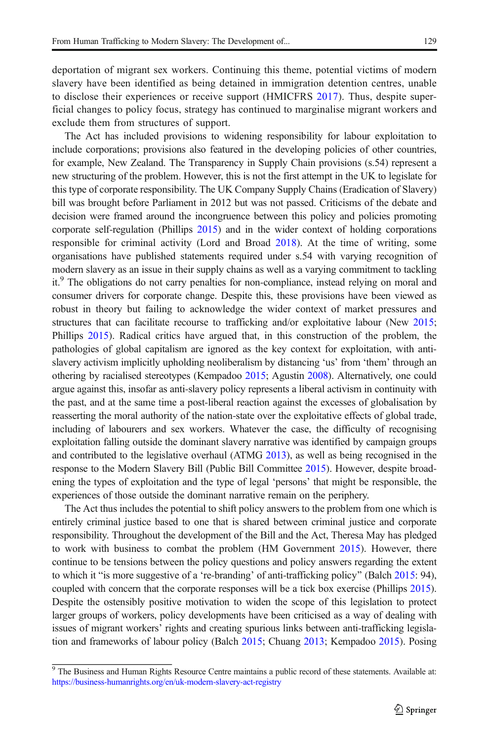deportation of migrant sex workers. Continuing this theme, potential victims of modern slavery have been identified as being detained in immigration detention centres, unable to disclose their experiences or receive support (HMICFRS [2017](#page-13-0)). Thus, despite superficial changes to policy focus, strategy has continued to marginalise migrant workers and exclude them from structures of support.

The Act has included provisions to widening responsibility for labour exploitation to include corporations; provisions also featured in the developing policies of other countries, for example, New Zealand. The Transparency in Supply Chain provisions (s.54) represent a new structuring of the problem. However, this is not the first attempt in the UK to legislate for this type of corporate responsibility. The UK Company Supply Chains (Eradication of Slavery) bill was brought before Parliament in 2012 but was not passed. Criticisms of the debate and decision were framed around the incongruence between this policy and policies promoting corporate self-regulation (Phillips [2015\)](#page-14-0) and in the wider context of holding corporations responsible for criminal activity (Lord and Broad [2018\)](#page-14-0). At the time of writing, some organisations have published statements required under s.54 with varying recognition of modern slavery as an issue in their supply chains as well as a varying commitment to tackling it.9 The obligations do not carry penalties for non-compliance, instead relying on moral and consumer drivers for corporate change. Despite this, these provisions have been viewed as robust in theory but failing to acknowledge the wider context of market pressures and structures that can facilitate recourse to trafficking and/or exploitative labour (New [2015](#page-14-0); Phillips [2015\)](#page-14-0). Radical critics have argued that, in this construction of the problem, the pathologies of global capitalism are ignored as the key context for exploitation, with antislavery activism implicitly upholding neoliberalism by distancing 'us' from 'them' through an othering by racialised stereotypes (Kempadoo [2015](#page-13-0); Agustin [2008\)](#page-12-0). Alternatively, one could argue against this, insofar as anti-slavery policy represents a liberal activism in continuity with the past, and at the same time a post-liberal reaction against the excesses of globalisation by reasserting the moral authority of the nation-state over the exploitative effects of global trade, including of labourers and sex workers. Whatever the case, the difficulty of recognising exploitation falling outside the dominant slavery narrative was identified by campaign groups and contributed to the legislative overhaul (ATMG [2013\)](#page-12-0), as well as being recognised in the response to the Modern Slavery Bill (Public Bill Committee [2015](#page-14-0)). However, despite broadening the types of exploitation and the type of legal 'persons' that might be responsible, the experiences of those outside the dominant narrative remain on the periphery.

The Act thus includes the potential to shift policy answers to the problem from one which is entirely criminal justice based to one that is shared between criminal justice and corporate responsibility. Throughout the development of the Bill and the Act, Theresa May has pledged to work with business to combat the problem (HM Government [2015](#page-13-0)). However, there continue to be tensions between the policy questions and policy answers regarding the extent to which it "is more suggestive of a 're-branding' of anti-trafficking policy" (Balch [2015](#page-12-0): 94), coupled with concern that the corporate responses will be a tick box exercise (Phillips [2015](#page-14-0)). Despite the ostensibly positive motivation to widen the scope of this legislation to protect larger groups of workers, policy developments have been criticised as a way of dealing with issues of migrant workers' rights and creating spurious links between anti-trafficking legislation and frameworks of labour policy (Balch [2015;](#page-12-0) Chuang [2013;](#page-12-0) Kempadoo [2015](#page-13-0)). Posing

<sup>&</sup>lt;sup>9</sup> The Business and Human Rights Resource Centre maintains a public record of these statements. Available at: <https://business-humanrights.org/en/uk-modern-slavery-act-registry>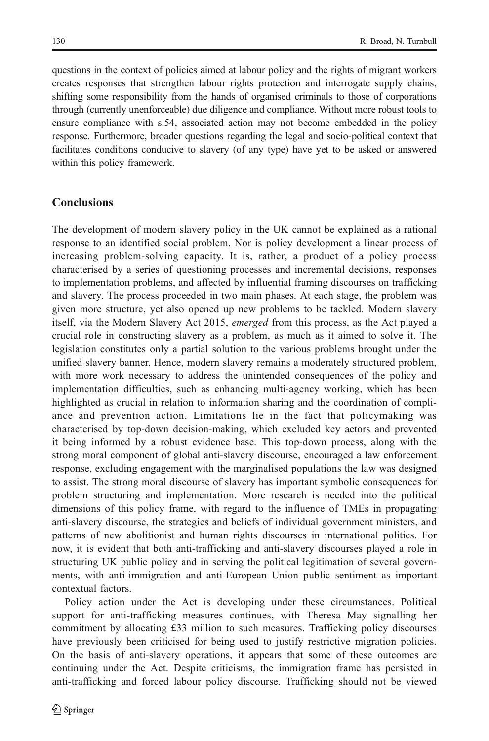questions in the context of policies aimed at labour policy and the rights of migrant workers creates responses that strengthen labour rights protection and interrogate supply chains, shifting some responsibility from the hands of organised criminals to those of corporations through (currently unenforceable) due diligence and compliance. Without more robust tools to ensure compliance with s.54, associated action may not become embedded in the policy response. Furthermore, broader questions regarding the legal and socio-political context that facilitates conditions conducive to slavery (of any type) have yet to be asked or answered within this policy framework.

### **Conclusions**

The development of modern slavery policy in the UK cannot be explained as a rational response to an identified social problem. Nor is policy development a linear process of increasing problem-solving capacity. It is, rather, a product of a policy process characterised by a series of questioning processes and incremental decisions, responses to implementation problems, and affected by influential framing discourses on trafficking and slavery. The process proceeded in two main phases. At each stage, the problem was given more structure, yet also opened up new problems to be tackled. Modern slavery itself, via the Modern Slavery Act 2015, *emerged* from this process, as the Act played a crucial role in constructing slavery as a problem, as much as it aimed to solve it. The legislation constitutes only a partial solution to the various problems brought under the unified slavery banner. Hence, modern slavery remains a moderately structured problem, with more work necessary to address the unintended consequences of the policy and implementation difficulties, such as enhancing multi-agency working, which has been highlighted as crucial in relation to information sharing and the coordination of compliance and prevention action. Limitations lie in the fact that policymaking was characterised by top-down decision-making, which excluded key actors and prevented it being informed by a robust evidence base. This top-down process, along with the strong moral component of global anti-slavery discourse, encouraged a law enforcement response, excluding engagement with the marginalised populations the law was designed to assist. The strong moral discourse of slavery has important symbolic consequences for problem structuring and implementation. More research is needed into the political dimensions of this policy frame, with regard to the influence of TMEs in propagating anti-slavery discourse, the strategies and beliefs of individual government ministers, and patterns of new abolitionist and human rights discourses in international politics. For now, it is evident that both anti-trafficking and anti-slavery discourses played a role in structuring UK public policy and in serving the political legitimation of several governments, with anti-immigration and anti-European Union public sentiment as important contextual factors.

Policy action under the Act is developing under these circumstances. Political support for anti-trafficking measures continues, with Theresa May signalling her commitment by allocating £33 million to such measures. Trafficking policy discourses have previously been criticised for being used to justify restrictive migration policies. On the basis of anti-slavery operations, it appears that some of these outcomes are continuing under the Act. Despite criticisms, the immigration frame has persisted in anti-trafficking and forced labour policy discourse. Trafficking should not be viewed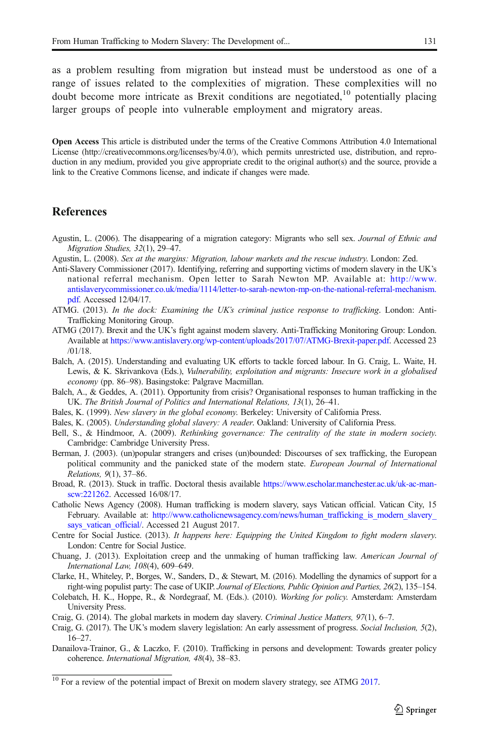<span id="page-12-0"></span>as a problem resulting from migration but instead must be understood as one of a range of issues related to the complexities of migration. These complexities will no doubt become more intricate as Brexit conditions are negotiated,<sup>10</sup> potentially placing larger groups of people into vulnerable employment and migratory areas.

Open Access This article is distributed under the terms of the Creative Commons Attribution 4.0 International License (http://creativecommons.org/licenses/by/4.0/), which permits unrestricted use, distribution, and reproduction in any medium, provided you give appropriate credit to the original author(s) and the source, provide a link to the Creative Commons license, and indicate if changes were made.

## References

- Agustin, L. (2006). The disappearing of a migration category: Migrants who sell sex. Journal of Ethnic and Migration Studies, 32(1), 29–47.
- Agustin, L. (2008). Sex at the margins: Migration, labour markets and the rescue industry. London: Zed.
- Anti-Slavery Commissioner (2017). Identifying, referring and supporting victims of modern slavery in the UK's national referral mechanism. Open letter to Sarah Newton MP. Available at: [http://www.](http://www.antislaverycommissioner.co.uk/media/1114/letter-to-sarah-newton-mp-on-the-national-referral-mechanism.pdf) [antislaverycommissioner.co.uk/media/1114/letter-to-sarah-newton-mp-on-the-national-referral-mechanism.](http://www.antislaverycommissioner.co.uk/media/1114/letter-to-sarah-newton-mp-on-the-national-referral-mechanism.pdf) [pdf.](http://www.antislaverycommissioner.co.uk/media/1114/letter-to-sarah-newton-mp-on-the-national-referral-mechanism.pdf) Accessed 12/04/17.
- ATMG. (2013). In the dock: Examining the UK's criminal justice response to trafficking. London: Anti-Trafficking Monitoring Group.
- ATMG (2017). Brexit and the UK's fight against modern slavery. Anti-Trafficking Monitoring Group: London. Available at [https://www.antislavery.org/wp-content/uploads/2017/07/ATMG-Brexit-paper.pdf.](https://www.antislavery.org/wp-content/uploads/2017/07/ATMG-Brexit-paper.pdf) Accessed 23 /01/18.
- Balch, A. (2015). Understanding and evaluating UK efforts to tackle forced labour. In G. Craig, L. Waite, H. Lewis, & K. Skrivankova (Eds.), Vulnerability, exploitation and migrants: Insecure work in a globalised economy (pp. 86–98). Basingstoke: Palgrave Macmillan.
- Balch, A., & Geddes, A. (2011). Opportunity from crisis? Organisational responses to human trafficking in the UK. The British Journal of Politics and International Relations, 13(1), 26–41.
- Bales, K. (1999). New slavery in the global economy. Berkeley: University of California Press.
- Bales, K. (2005). Understanding global slavery: A reader. Oakland: University of California Press.
- Bell, S., & Hindmoor, A. (2009). Rethinking governance: The centrality of the state in modern society. Cambridge: Cambridge University Press.
- Berman, J. (2003). (un)popular strangers and crises (un)bounded: Discourses of sex trafficking, the European political community and the panicked state of the modern state. European Journal of International Relations, 9(1), 37–86.
- Broad, R. (2013). Stuck in traffic. Doctoral thesis available [https://www.escholar.manchester.ac.uk/uk-ac-man](https://www.escholar.manchester.ac.uk/uk-ac-man-scw:221262)[scw:221262.](https://www.escholar.manchester.ac.uk/uk-ac-man-scw:221262) Accessed 16/08/17.
- Catholic News Agency (2008). Human trafficking is modern slavery, says Vatican official. Vatican City, 15 February. Available at: [http://www.catholicnewsagency.com/news/human\\_trafficking\\_is\\_modern\\_slavery\\_](http://www.catholicnewsagency.com/news/human_trafficking_is_modern_slavery_says_vatican_official/) [says\\_vatican\\_official/](http://www.catholicnewsagency.com/news/human_trafficking_is_modern_slavery_says_vatican_official/). Accessed 21 August 2017.
- Centre for Social Justice. (2013). It happens here: Equipping the United Kingdom to fight modern slavery. London: Centre for Social Justice.
- Chuang, J. (2013). Exploitation creep and the unmaking of human trafficking law. American Journal of International Law, 108(4), 609–649.
- Clarke, H., Whiteley, P., Borges, W., Sanders, D., & Stewart, M. (2016). Modelling the dynamics of support for a right-wing populist party: The case of UKIP. Journal of Elections, Public Opinion and Parties, 26(2), 135–154.
- Colebatch, H. K., Hoppe, R., & Nordegraaf, M. (Eds.). (2010). Working for policy. Amsterdam: Amsterdam University Press.
- Craig, G. (2014). The global markets in modern day slavery. Criminal Justice Matters, 97(1), 6–7.
- Craig, G. (2017). The UK's modern slavery legislation: An early assessment of progress. Social Inclusion, 5(2), 16–27.
- Danailova-Trainor, G., & Laczko, F. (2010). Trafficking in persons and development: Towards greater policy coherence. International Migration, 48(4), 38–83.

 $10$  For a review of the potential impact of Brexit on modern slavery strategy, see ATMG 2017.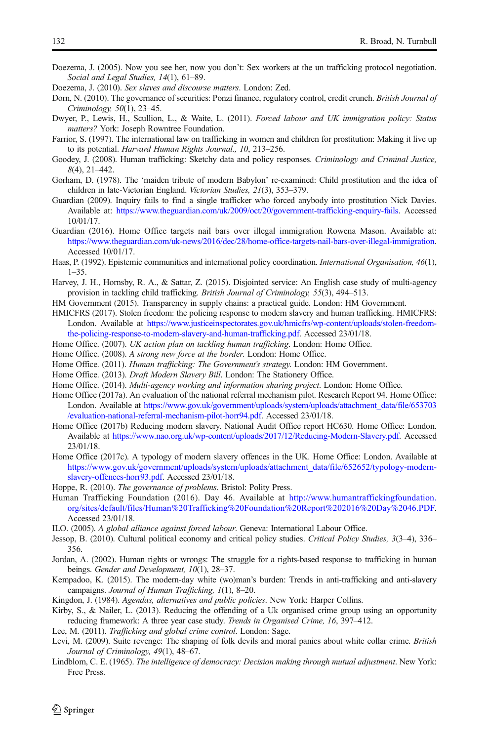- <span id="page-13-0"></span>Doezema, J. (2005). Now you see her, now you don't: Sex workers at the un trafficking protocol negotiation. Social and Legal Studies, 14(1), 61–89.
- Doezema, J. (2010). Sex slaves and discourse matters. London: Zed.
- Dorn, N. (2010). The governance of securities: Ponzi finance, regulatory control, credit crunch. British Journal of Criminology, 50(1), 23–45.
- Dwyer, P., Lewis, H., Scullion, L., & Waite, L. (2011). Forced labour and UK immigration policy: Status matters? York: Joseph Rowntree Foundation.
- Farrior, S. (1997). The international law on trafficking in women and children for prostitution: Making it live up to its potential. Harvard Human Rights Journal., 10, 213–256.
- Goodey, J. (2008). Human trafficking: Sketchy data and policy responses. Criminology and Criminal Justice, 8(4), 21–442.
- Gorham, D. (1978). The 'maiden tribute of modern Babylon' re-examined: Child prostitution and the idea of children in late-Victorian England. Victorian Studies, 21(3), 353–379.
- Guardian (2009). Inquiry fails to find a single trafficker who forced anybody into prostitution Nick Davies. Available at: <https://www.theguardian.com/uk/2009/oct/20/government-trafficking-enquiry-fails>. Accessed 10/01/17.
- Guardian (2016). Home Office targets nail bars over illegal immigration Rowena Mason. Available at: [https://www.theguardian.com/uk-news/2016/dec/28/home-office-targets-nail-bars-over-illegal-immigration.](https://www.theguardian.com/uk-news/2016/dec/28/home-office-targets-nail-bars-over-illegal-immigration) Accessed 10/01/17.
- Haas, P. (1992). Epistemic communities and international policy coordination. International Organisation, 46(1),  $1 - 35$ .
- Harvey, J. H., Hornsby, R. A., & Sattar, Z. (2015). Disjointed service: An English case study of multi-agency provision in tackling child trafficking. British Journal of Criminology, 55(3), 494–513.
- HM Government (2015). Transparency in supply chains: a practical guide. London: HM Government.
- HMICFRS (2017). Stolen freedom: the policing response to modern slavery and human trafficking. HMICFRS: London. Available at [https://www.justiceinspectorates.gov.uk/hmicfrs/wp-content/uploads/stolen-freedom](https://www.justiceinspectorates.gov.uk/hmicfrs/wp-content/uploads/stolen-freedom-the-policing-response-to-modern-slavery-and-human-trafficking.pdf)[the-policing-response-to-modern-slavery-and-human-trafficking.pdf](https://www.justiceinspectorates.gov.uk/hmicfrs/wp-content/uploads/stolen-freedom-the-policing-response-to-modern-slavery-and-human-trafficking.pdf). Accessed 23/01/18.
- Home Office. (2007). UK action plan on tackling human trafficking. London: Home Office.
- Home Office. (2008). A strong new force at the border. London: Home Office.
- Home Office. (2011). Human trafficking: The Government's strategy. London: HM Government.
- Home Office. (2013). Draft Modern Slavery Bill. London: The Stationery Office.
- Home Office. (2014). Multi-agency working and information sharing project. London: Home Office.
- Home Office (2017a). An evaluation of the national referral mechanism pilot. Research Report 94. Home Office: London. Available at [https://www.gov.uk/government/uploads/system/uploads/attachment\\_data/file/653703](https://www.gov.uk/government/uploads/system/uploads/attachment_data/file/653703/evaluation-national-referral-mechanism-pilot-horr94.pdf) [/evaluation-national-referral-mechanism-pilot-horr94.pdf.](https://www.gov.uk/government/uploads/system/uploads/attachment_data/file/653703/evaluation-national-referral-mechanism-pilot-horr94.pdf) Accessed 23/01/18.
- Home Office (2017b) Reducing modern slavery. National Audit Office report HC630. Home Office: London. Available at [https://www.nao.org.uk/wp-content/uploads/2017/12/Reducing-Modern-Slavery.pdf.](https://www.nao.org.uk/wp-content/uploads/2017/12/Reducing-Modern-Slavery.pdf) Accessed 23/01/18.
- Home Office (2017c). A typology of modern slavery offences in the UK. Home Office: London. Available at [https://www.gov.uk/government/uploads/system/uploads/attachment\\_data/file/652652/typology-modern](https://www.gov.uk/government/uploads/system/uploads/attachment_data/file/652652/typology-modern-slavery-offences-horr93.pdf)[slavery-offences-horr93.pdf.](https://www.gov.uk/government/uploads/system/uploads/attachment_data/file/652652/typology-modern-slavery-offences-horr93.pdf) Accessed 23/01/18.
- Hoppe, R. (2010). The governance of problems. Bristol: Polity Press.
- Human Trafficking Foundation (2016). Day 46. Available at [http://www.humantraffickingfoundation.](http://www.humantraffickingfoundation.org/sites/default/files/Human%20Trafficking%20Foundation%20Report%202016%20Day%2046.PDF) [org/sites/default/files/Human%20Trafficking%20Foundation%20Report%202016%20Day%2046.PDF.](http://www.humantraffickingfoundation.org/sites/default/files/Human%20Trafficking%20Foundation%20Report%202016%20Day%2046.PDF) Accessed 23/01/18.
- ILO. (2005). A global alliance against forced labour. Geneva: International Labour Office.
- Jessop, B. (2010). Cultural political economy and critical policy studies. Critical Policy Studies, 3(3-4), 336– 356.
- Jordan, A. (2002). Human rights or wrongs: The struggle for a rights-based response to trafficking in human beings. Gender and Development, 10(1), 28–37.
- Kempadoo, K. (2015). The modern-day white (wo)man's burden: Trends in anti-trafficking and anti-slavery campaigns. Journal of Human Trafficking, 1(1), 8–20.
- Kingdon, J. (1984). Agendas, alternatives and public policies. New York: Harper Collins.
- Kirby, S., & Nailer, L. (2013). Reducing the offending of a Uk organised crime group using an opportunity reducing framework: A three year case study. Trends in Organised Crime, 16, 397–412.

Lee, M. (2011). Trafficking and global crime control. London: Sage.

- Levi, M. (2009). Suite revenge: The shaping of folk devils and moral panics about white collar crime. *British* Journal of Criminology, 49(1), 48–67.
- Lindblom, C. E. (1965). The intelligence of democracy: Decision making through mutual adjustment. New York: Free Press.